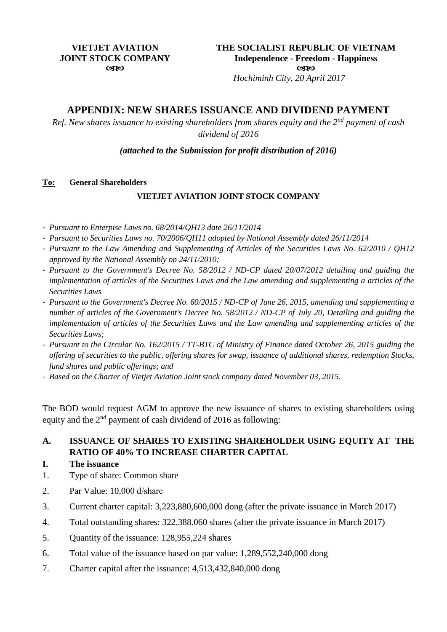*Hochiminh City, 20 April 2017*

# **APPENDIX: NEW SHARES ISSUANCE AND DIVIDEND PAYMENT**

*Ref. New shares issuance to existing shareholders from shares equity and the 2nd payment of cash dividend of 2016*

*(attached to the Submission for profit distribution of 2016)*

#### **To: General Shareholders**

### **VIETJET AVIATION JOINT STOCK COMPANY**

- *Pursuant to Enterpise Laws no. 68/2014/QH13 date 26/11/2014*
- *Pursuant to Securities Laws no. 70/2006/QH11 adopted by National Assembly dated 26/11/2014*
- *Pursuant to the Law Amending and Supplementing of Articles of the Securities Laws No. 62/2010 / QH12 approved by the National Assembly on 24/11/2010;*
- *Pursuant to the Government's Decree No. 58/2012 / ND-CP dated 20/07/2012 detailing and guiding the implementation of articles of the Securities Laws and the Law amending and supplementing a articles of the Securities Laws*
- *Pursuant to the Government's Decree No. 60/2015 / ND-CP of June 26, 2015, amending and supplementing a number of articles of the Government's Decree No. 58/2012 / ND-CP of July 20, Detailing and guiding the implementation of articles of the Securities Laws and the Law amending and supplementing articles of the Securities Laws;*
- *Pursuant to the Circular No. 162/2015 / TT-BTC of Ministry of Finance dated October 26, 2015 guiding the offering of securities to the public, offering shares for swap, issuance of additional shares, redemption Stocks, fund shares and public offerings; and*
- *Based on the Charter of Vietjet Aviation Joint stock company dated November 03, 2015.*

The BOD would request AGM to approve the new issuance of shares to existing shareholders using equity and the 2<sup>nd</sup> payment of cash dividend of 2016 as following:

## **A. ISSUANCE OF SHARES TO EXISTING SHAREHOLDER USING EQUITY AT THE RATIO OF 40% TO INCREASE CHARTER CAPITAL**

- **I. The issuance**
- 1. Type of share: Common share
- 2. Par Value: 10,000 đ/share
- 3. Current charter capital: 3,223,880,600,000 dong (after the private issuance in March 2017)
- 4. Total outstanding shares: 322.388.060 shares (after the private issuance in March 2017)
- 5. Quantity of the issuance: 128,955,224 shares
- 6. Total value of the issuance based on par value: 1,289,552,240,000 dong
- 7. Charter capital after the issuance: 4,513,432,840,000 dong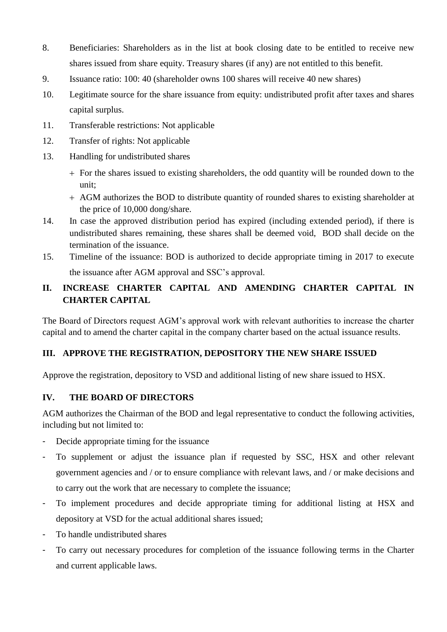- 8. Beneficiaries: Shareholders as in the list at book closing date to be entitled to receive new shares issued from share equity. Treasury shares (if any) are not entitled to this benefit.
- 9. Issuance ratio: 100: 40 (shareholder owns 100 shares will receive 40 new shares)
- 10. Legitimate source for the share issuance from equity: undistributed profit after taxes and shares capital surplus.
- 11. Transferable restrictions: Not applicable
- 12. Transfer of rights: Not applicable
- 13. Handling for undistributed shares
	- For the shares issued to existing shareholders, the odd quantity will be rounded down to the unit;
	- AGM authorizes the BOD to distribute quantity of rounded shares to existing shareholder at the price of 10,000 dong/share.
- 14. In case the approved distribution period has expired (including extended period), if there is undistributed shares remaining, these shares shall be deemed void, BOD shall decide on the termination of the issuance.
- 15. Timeline of the issuance: BOD is authorized to decide appropriate timing in 2017 to execute the issuance after AGM approval and SSC's approval.

# **II. INCREASE CHARTER CAPITAL AND AMENDING CHARTER CAPITAL IN CHARTER CAPITAL**

The Board of Directors request AGM's approval work with relevant authorities to increase the charter capital and to amend the charter capital in the company charter based on the actual issuance results.

## **III. APPROVE THE REGISTRATION, DEPOSITORY THE NEW SHARE ISSUED**

Approve the registration, depository to VSD and additional listing of new share issued to HSX.

## **IV. THE BOARD OF DIRECTORS**

AGM authorizes the Chairman of the BOD and legal representative to conduct the following activities, including but not limited to:

- Decide appropriate timing for the issuance
- To supplement or adjust the issuance plan if requested by SSC, HSX and other relevant government agencies and / or to ensure compliance with relevant laws, and / or make decisions and to carry out the work that are necessary to complete the issuance;
- To implement procedures and decide appropriate timing for additional listing at HSX and depository at VSD for the actual additional shares issued;
- To handle undistributed shares
- To carry out necessary procedures for completion of the issuance following terms in the Charter and current applicable laws.